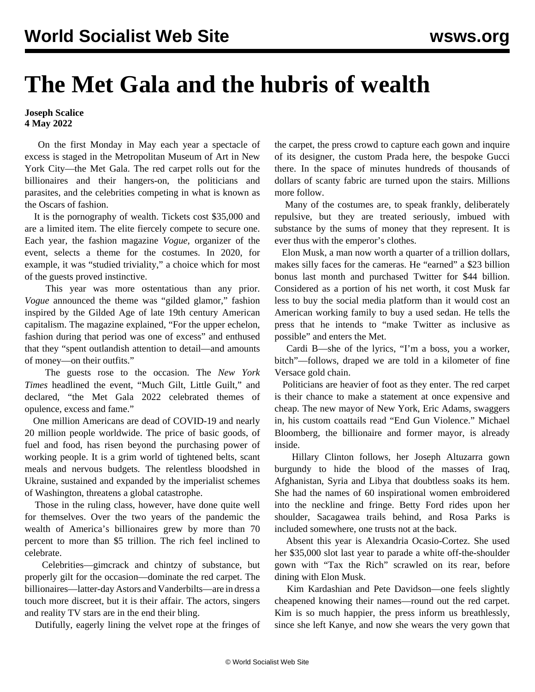## **The Met Gala and the hubris of wealth**

## **Joseph Scalice 4 May 2022**

 On the first Monday in May each year a spectacle of excess is staged in the Metropolitan Museum of Art in New York City—the Met Gala. The red carpet rolls out for the billionaires and their hangers-on, the politicians and parasites, and the celebrities competing in what is known as the Oscars of fashion.

 It is the pornography of wealth. Tickets cost \$35,000 and are a limited item. The elite fiercely compete to secure one. Each year, the fashion magazine *Vogue,* organizer of the event, selects a theme for the costumes. In 2020, for example, it was "studied triviality," a choice which for most of the guests proved instinctive.

 This year was more ostentatious than any prior. *Vogue* announced the theme was "gilded glamor," fashion inspired by the Gilded Age of late 19th century American capitalism. The magazine explained, "For the upper echelon, fashion during that period was one of excess" and enthused that they "spent outlandish attention to detail—and amounts of money—on their outfits."

 The guests rose to the occasion. The *New York Times* headlined the event, "Much Gilt, Little Guilt," and declared, "the Met Gala 2022 celebrated themes of opulence, excess and fame."

 One million Americans are dead of COVID-19 and nearly 20 million people worldwide. The price of basic goods, of fuel and food, has risen beyond the purchasing power of working people. It is a grim world of tightened belts, scant meals and nervous budgets. The relentless bloodshed in Ukraine, sustained and expanded by the imperialist schemes of Washington, threatens a global catastrophe.

 Those in the ruling class, however, have done quite well for themselves. Over the two years of the pandemic the wealth of America's billionaires grew by more than 70 percent to more than \$5 trillion. The rich feel inclined to celebrate.

 Celebrities—gimcrack and chintzy of substance, but properly gilt for the occasion—dominate the red carpet. The billionaires—latter-day Astors and Vanderbilts—are in dress a touch more discreet, but it is their affair. The actors, singers and reality TV stars are in the end their bling.

Dutifully, eagerly lining the velvet rope at the fringes of

the carpet, the press crowd to capture each gown and inquire of its designer, the custom Prada here, the bespoke Gucci there. In the space of minutes hundreds of thousands of dollars of scanty fabric are turned upon the stairs. Millions more follow.

 Many of the costumes are, to speak frankly, deliberately repulsive, but they are treated seriously, imbued with substance by the sums of money that they represent. It is ever thus with the emperor's clothes.

 Elon Musk, a man now worth a quarter of a trillion dollars, makes silly faces for the cameras. He "earned" a \$23 billion bonus last month and purchased Twitter for \$44 billion. Considered as a portion of his net worth, it cost Musk far less to buy the social media platform than it would cost an American working family to buy a used sedan. He tells the press that he intends to "make Twitter as inclusive as possible" and enters the Met.

 Cardi B—she of the lyrics, "I'm a boss, you a worker, bitch"—follows, draped we are told in a kilometer of fine Versace gold chain.

 Politicians are heavier of foot as they enter. The red carpet is their chance to make a statement at once expensive and cheap. The new mayor of New York, Eric Adams, swaggers in, his custom coattails read "End Gun Violence." Michael Bloomberg, the billionaire and former mayor, is already inside.

 Hillary Clinton follows, her Joseph Altuzarra gown burgundy to hide the blood of the masses of Iraq, Afghanistan, Syria and Libya that doubtless soaks its hem. She had the names of 60 inspirational women embroidered into the neckline and fringe. Betty Ford rides upon her shoulder, Sacagawea trails behind, and Rosa Parks is included somewhere, one trusts not at the back.

 Absent this year is Alexandria Ocasio-Cortez. She used her \$35,000 slot last year to parade a white off-the-shoulder gown with "Tax the Rich" scrawled on its rear, before dining with Elon Musk.

 Kim Kardashian and Pete Davidson—one feels slightly cheapened knowing their names—round out the red carpet. Kim is so much happier, the press inform us breathlessly, since she left Kanye, and now she wears the very gown that